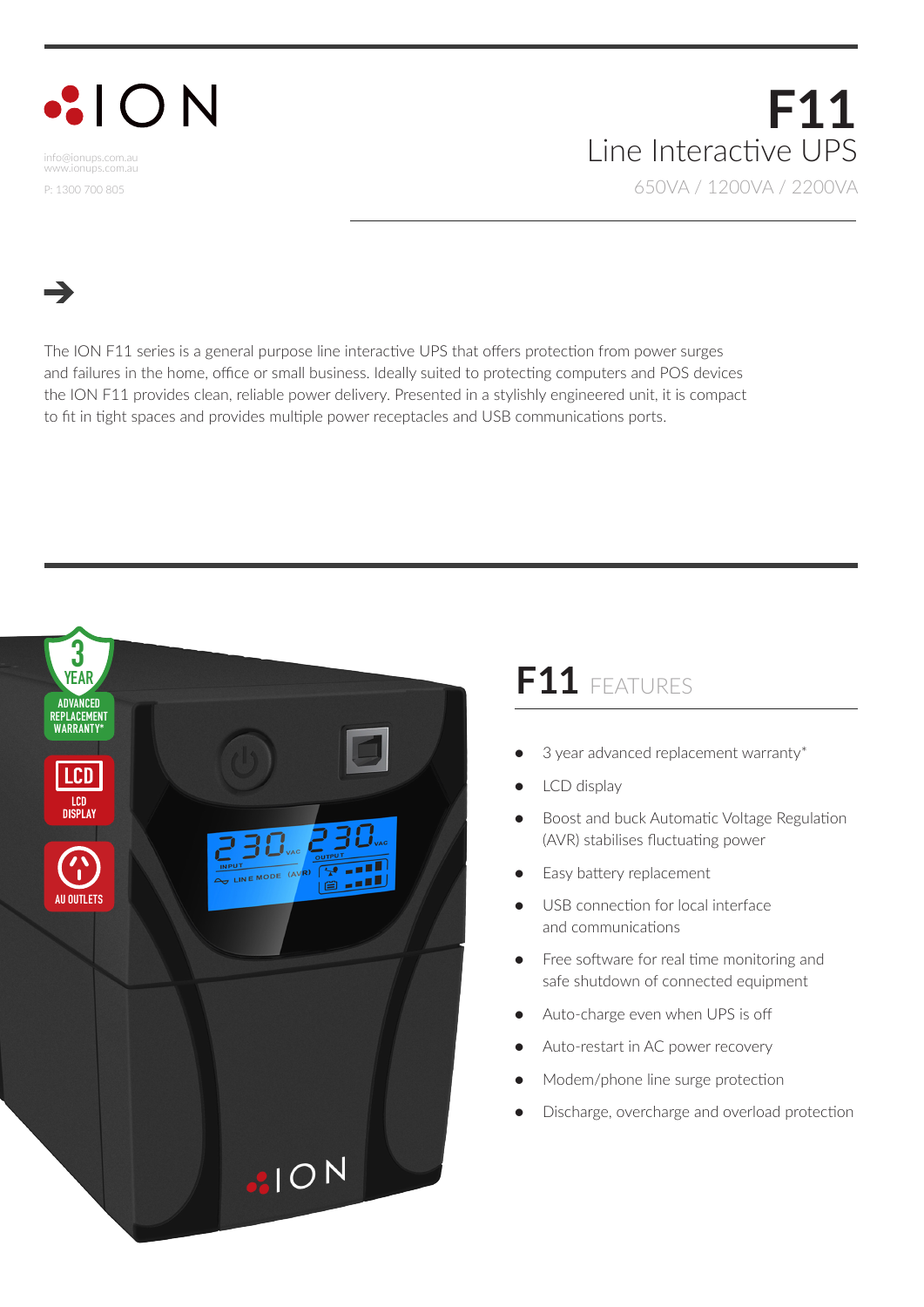## $\cdot$ ION

info@ionups.com.au www.ionups.com.au P: 1300 700 805

## **F11** Line Interactive UPS 650VA / 1200VA / 2200VA

The ION F11 series is a general purpose line interactive UPS that offers protection from power surges and failures in the home, office or small business. Ideally suited to protecting computers and POS devices the ION F11 provides clean, reliable power delivery. Presented in a stylishly engineered unit, it is compact to fit in tight spaces and provides multiple power receptacles and USB communications ports.



## **F11** FEATURES

- 3 year advanced replacement warranty\*
- LCD display
- Boost and buck Automatic Voltage Regulation (AVR) stabilises fluctuating power
- Easy battery replacement
- USB connection for local interface and communications
- Free software for real time monitoring and safe shutdown of connected equipment
- Auto-charge even when UPS is off
- Auto-restart in AC power recovery
- Modem/phone line surge protection
- Discharge, overcharge and overload protection